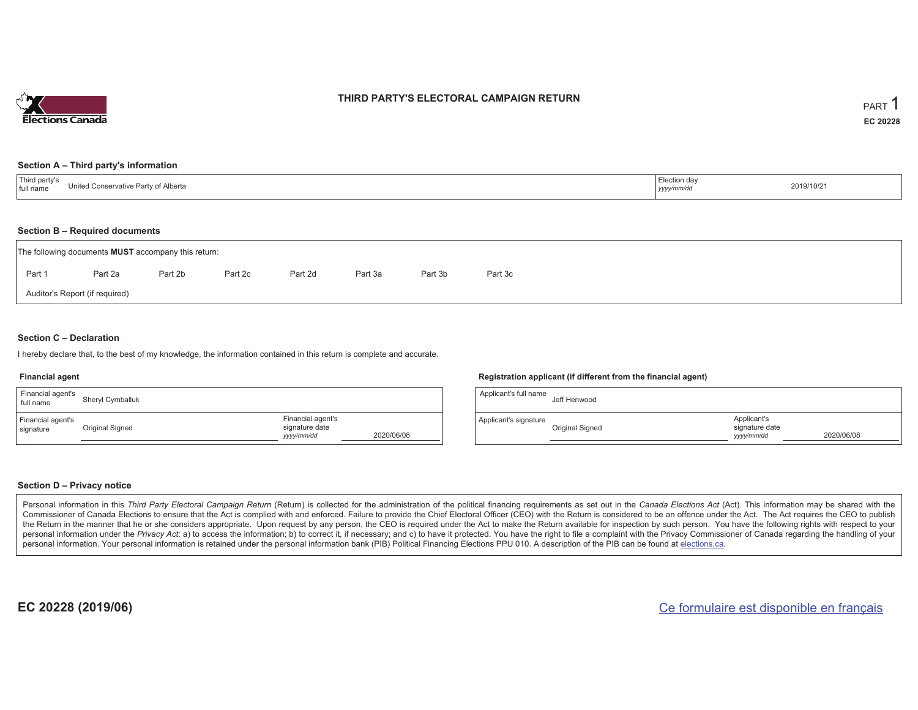

### **THIRD PARTY'S ELECTORAL CAMPAIGN RETURN**

#### **Section A – Third party's information**

| Third party's<br><i>≟</i> lection da∨<br>InitialC<br>. Conservative Party of<br>* Alberta<br>I full name<br>yyyy/mm/or | 2019/10/21 |
|------------------------------------------------------------------------------------------------------------------------|------------|
|------------------------------------------------------------------------------------------------------------------------|------------|

#### **Section B – Required documents**

|                                | The following documents <b>MUST</b> accompany this return: |         |         |         |         |         |         |  |  |  |  |  |  |
|--------------------------------|------------------------------------------------------------|---------|---------|---------|---------|---------|---------|--|--|--|--|--|--|
| Part 1                         | Part 2a                                                    | Part 2b | Part 2c | Part 2d | Part 3a | Part 3b | Part 3c |  |  |  |  |  |  |
| Auditor's Report (if required) |                                                            |         |         |         |         |         |         |  |  |  |  |  |  |

### **Section C – Declaration**

I hereby declare that, to the best of my knowledge, the information contained in this return is complete and accurate.

#### **Financial agent**

| Financial agent's<br>full name | Sheryl Cymballuk |                                                                 | Ap  |
|--------------------------------|------------------|-----------------------------------------------------------------|-----|
| Financial agent's<br>signature | Original Signed  | Financial agent's<br>signature date<br>2020/06/08<br>yyyy/mm/dd | App |

#### **Registration applicant (if different from the financial agent)**

| Applicant's full name | Jeff Henwood    |                                             |            |
|-----------------------|-----------------|---------------------------------------------|------------|
| Applicant's signature | Original Signed | Applicant's<br>signature date<br>yyyy/mm/dd | 2020/06/08 |

### **Section D – Privacy notice**

Personal information in this Third Party Electoral Campaign Return (Return) is collected for the administration of the political financing requirements as set out in the Canada Elections Act (Act). This information may be Commissioner of Canada Elections to ensure that the Act is complied with and enforced. Failure to provide the Chief Electoral Officer (CEO) with the Return is considered to be an offence under the Act. The Act requires the the Return in the manner that he or she considers appropriate. Upon request by any person, the CEO is required under the Act to make the Return available for inspection by such person. You have the following rights with re personal information under the Privacy Act: a) to access the information; b) to correct it, if necessary; and c) to have it protected. You have the right to file a complaint with the Privacy Commissioner of Canada regardin personal information. Your personal information is retained under the personal information bank (PIB) Political Financing Elections PPU 010. A description of the PIB can be found at elections.ca.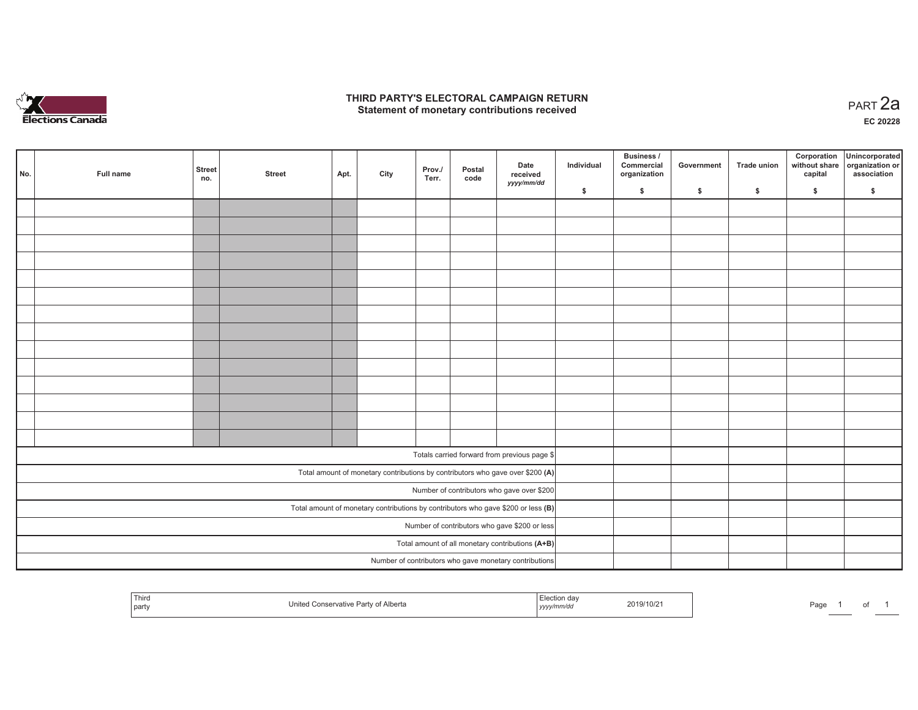

## **THIRD PARTY'S ELECTORAL CAMPAIGN RETURN HIRD PARTY'S ELECTORAL CAMPAIGN RETURN<br>Statement of monetary contributions received PART 2a**

**EC 20228**

| No. | Full name | <b>Street</b><br>no. | <b>Street</b> | Apt. | City | Prov./<br>Terr. | Postal<br>code | Date<br>received<br>yyyy/mm/dd                                                      | Individual | <b>Business /</b><br>Commercial<br>organization | Government | Trade union | Corporation<br>capital | Unincorporated<br>without share organization or<br>association |
|-----|-----------|----------------------|---------------|------|------|-----------------|----------------|-------------------------------------------------------------------------------------|------------|-------------------------------------------------|------------|-------------|------------------------|----------------------------------------------------------------|
|     |           |                      |               |      |      |                 |                |                                                                                     | \$         | \$                                              | \$         | \$          | \$                     | \$                                                             |
|     |           |                      |               |      |      |                 |                |                                                                                     |            |                                                 |            |             |                        |                                                                |
|     |           |                      |               |      |      |                 |                |                                                                                     |            |                                                 |            |             |                        |                                                                |
|     |           |                      |               |      |      |                 |                |                                                                                     |            |                                                 |            |             |                        |                                                                |
|     |           |                      |               |      |      |                 |                |                                                                                     |            |                                                 |            |             |                        |                                                                |
|     |           |                      |               |      |      |                 |                |                                                                                     |            |                                                 |            |             |                        |                                                                |
|     |           |                      |               |      |      |                 |                |                                                                                     |            |                                                 |            |             |                        |                                                                |
|     |           |                      |               |      |      |                 |                |                                                                                     |            |                                                 |            |             |                        |                                                                |
|     |           |                      |               |      |      |                 |                |                                                                                     |            |                                                 |            |             |                        |                                                                |
|     |           |                      |               |      |      |                 |                |                                                                                     |            |                                                 |            |             |                        |                                                                |
|     |           |                      |               |      |      |                 |                |                                                                                     |            |                                                 |            |             |                        |                                                                |
|     |           |                      |               |      |      |                 |                |                                                                                     |            |                                                 |            |             |                        |                                                                |
|     |           |                      |               |      |      |                 |                |                                                                                     |            |                                                 |            |             |                        |                                                                |
|     |           |                      |               |      |      |                 |                |                                                                                     |            |                                                 |            |             |                        |                                                                |
|     |           |                      |               |      |      |                 |                |                                                                                     |            |                                                 |            |             |                        |                                                                |
|     |           |                      |               |      |      |                 |                |                                                                                     |            |                                                 |            |             |                        |                                                                |
|     |           |                      |               |      |      |                 |                | Totals carried forward from previous page \$                                        |            |                                                 |            |             |                        |                                                                |
|     |           |                      |               |      |      |                 |                | Total amount of monetary contributions by contributors who gave over \$200 (A)      |            |                                                 |            |             |                        |                                                                |
|     |           |                      |               |      |      |                 |                | Number of contributors who gave over \$200                                          |            |                                                 |            |             |                        |                                                                |
|     |           |                      |               |      |      |                 |                | Total amount of monetary contributions by contributors who gave \$200 or less $(B)$ |            |                                                 |            |             |                        |                                                                |
|     |           |                      |               |      |      |                 |                | Number of contributors who gave \$200 or less                                       |            |                                                 |            |             |                        |                                                                |
|     |           |                      |               |      |      |                 |                | Total amount of all monetary contributions (A+B)                                    |            |                                                 |            |             |                        |                                                                |
|     |           |                      |               |      |      |                 |                | Number of contributors who gave monetary contributions                              |            |                                                 |            |             |                        |                                                                |

| Third<br>United Conservative Party of Alberta<br>  party | Election dav<br>2019/10/21<br>, уууулг | Page<br>_____ |
|----------------------------------------------------------|----------------------------------------|---------------|
|----------------------------------------------------------|----------------------------------------|---------------|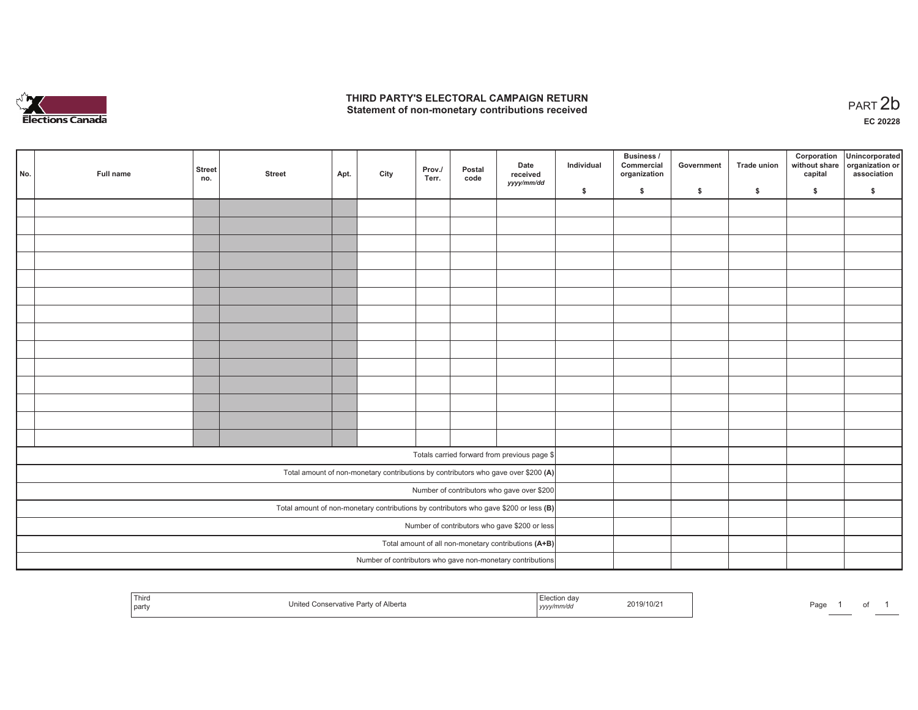

## **THIRD PARTY'S ELECTORAL CAMPAIGN RETURN**  THIRD PARTY'S ELECTORAL CAMPAIGN RETURN<br>Statement of non-monetary contributions received<br> **PART 2b**

| No. | Full name | <b>Street</b><br>no. | <b>Street</b> | Apt. | City | Prov./<br>Terr. | Postal<br>code | Date<br>received<br>yyyy/mm/dd                                                          | Individual | <b>Business /</b><br>Commercial<br>organization | Government   | Trade union  | Corporation<br>capital | Unincorporated<br>without share organization or<br>association |
|-----|-----------|----------------------|---------------|------|------|-----------------|----------------|-----------------------------------------------------------------------------------------|------------|-------------------------------------------------|--------------|--------------|------------------------|----------------------------------------------------------------|
|     |           |                      |               |      |      |                 |                |                                                                                         | \$         | \$                                              | $\mathsf{s}$ | $\mathbf{s}$ | \$                     | \$                                                             |
|     |           |                      |               |      |      |                 |                |                                                                                         |            |                                                 |              |              |                        |                                                                |
|     |           |                      |               |      |      |                 |                |                                                                                         |            |                                                 |              |              |                        |                                                                |
|     |           |                      |               |      |      |                 |                |                                                                                         |            |                                                 |              |              |                        |                                                                |
|     |           |                      |               |      |      |                 |                |                                                                                         |            |                                                 |              |              |                        |                                                                |
|     |           |                      |               |      |      |                 |                |                                                                                         |            |                                                 |              |              |                        |                                                                |
|     |           |                      |               |      |      |                 |                |                                                                                         |            |                                                 |              |              |                        |                                                                |
|     |           |                      |               |      |      |                 |                |                                                                                         |            |                                                 |              |              |                        |                                                                |
|     |           |                      |               |      |      |                 |                |                                                                                         |            |                                                 |              |              |                        |                                                                |
|     |           |                      |               |      |      |                 |                |                                                                                         |            |                                                 |              |              |                        |                                                                |
|     |           |                      |               |      |      |                 |                |                                                                                         |            |                                                 |              |              |                        |                                                                |
|     |           |                      |               |      |      |                 |                |                                                                                         |            |                                                 |              |              |                        |                                                                |
|     |           |                      |               |      |      |                 |                |                                                                                         |            |                                                 |              |              |                        |                                                                |
|     |           |                      |               |      |      |                 |                |                                                                                         |            |                                                 |              |              |                        |                                                                |
|     |           |                      |               |      |      |                 |                |                                                                                         |            |                                                 |              |              |                        |                                                                |
|     |           |                      |               |      |      |                 |                |                                                                                         |            |                                                 |              |              |                        |                                                                |
|     |           |                      |               |      |      |                 |                | Totals carried forward from previous page \$                                            |            |                                                 |              |              |                        |                                                                |
|     |           |                      |               |      |      |                 |                | Total amount of non-monetary contributions by contributors who gave over \$200 (A)      |            |                                                 |              |              |                        |                                                                |
|     |           |                      |               |      |      |                 |                | Number of contributors who gave over \$200                                              |            |                                                 |              |              |                        |                                                                |
|     |           |                      |               |      |      |                 |                | Total amount of non-monetary contributions by contributors who gave \$200 or less $(B)$ |            |                                                 |              |              |                        |                                                                |
|     |           |                      |               |      |      |                 |                | Number of contributors who gave \$200 or less                                           |            |                                                 |              |              |                        |                                                                |
|     |           |                      |               |      |      |                 |                | Total amount of all non-monetary contributions (A+B)                                    |            |                                                 |              |              |                        |                                                                |
|     |           |                      |               |      |      |                 |                | Number of contributors who gave non-monetary contributions                              |            |                                                 |              |              |                        |                                                                |

| <sup>I</sup> Third<br>  party | rty of Alberta<br>Conservative<br>Par. | ı dav<br>2019/10/2<br>nmrao<br><b>17999</b> | Page |
|-------------------------------|----------------------------------------|---------------------------------------------|------|
|-------------------------------|----------------------------------------|---------------------------------------------|------|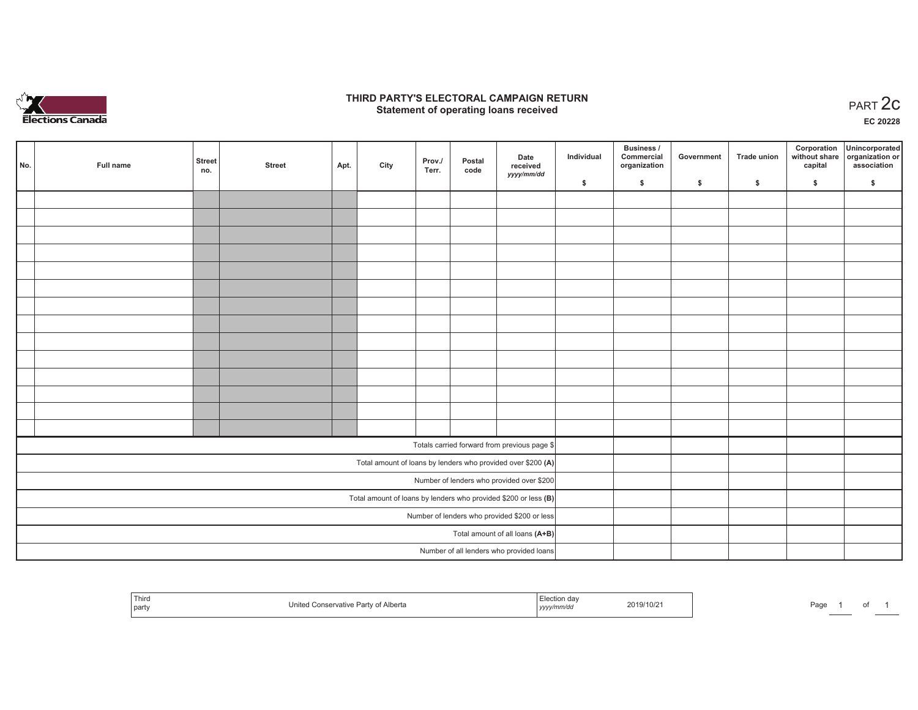

## **THIRD PARTY'S ELECTORAL CAMPAIGN RETURN STATE:** PARTY'S ELECTORAL CAMPAIGN RETURN<br>
Statement of operating loans received

**EC 20228**

| No. | Full name | <b>Street</b><br>no. | <b>Street</b> | Apt. | City | Prov./<br>Terr. | Postal<br>code | Date<br>received<br>yyyy/mm/dd                                  | Individual | <b>Business /</b><br>Commercial<br>organization | Government | <b>Trade union</b> | Corporation<br>capital | Unincorporated<br>without share organization or<br>association |
|-----|-----------|----------------------|---------------|------|------|-----------------|----------------|-----------------------------------------------------------------|------------|-------------------------------------------------|------------|--------------------|------------------------|----------------------------------------------------------------|
|     |           |                      |               |      |      |                 |                |                                                                 | \$         | \$                                              | \$         | \$                 | \$                     | \$                                                             |
|     |           |                      |               |      |      |                 |                |                                                                 |            |                                                 |            |                    |                        |                                                                |
|     |           |                      |               |      |      |                 |                |                                                                 |            |                                                 |            |                    |                        |                                                                |
|     |           |                      |               |      |      |                 |                |                                                                 |            |                                                 |            |                    |                        |                                                                |
|     |           |                      |               |      |      |                 |                |                                                                 |            |                                                 |            |                    |                        |                                                                |
|     |           |                      |               |      |      |                 |                |                                                                 |            |                                                 |            |                    |                        |                                                                |
|     |           |                      |               |      |      |                 |                |                                                                 |            |                                                 |            |                    |                        |                                                                |
|     |           |                      |               |      |      |                 |                |                                                                 |            |                                                 |            |                    |                        |                                                                |
|     |           |                      |               |      |      |                 |                |                                                                 |            |                                                 |            |                    |                        |                                                                |
|     |           |                      |               |      |      |                 |                |                                                                 |            |                                                 |            |                    |                        |                                                                |
|     |           |                      |               |      |      |                 |                |                                                                 |            |                                                 |            |                    |                        |                                                                |
|     |           |                      |               |      |      |                 |                |                                                                 |            |                                                 |            |                    |                        |                                                                |
|     |           |                      |               |      |      |                 |                |                                                                 |            |                                                 |            |                    |                        |                                                                |
|     |           |                      |               |      |      |                 |                |                                                                 |            |                                                 |            |                    |                        |                                                                |
|     |           |                      |               |      |      |                 |                |                                                                 |            |                                                 |            |                    |                        |                                                                |
|     |           |                      |               |      |      |                 |                | Totals carried forward from previous page \$                    |            |                                                 |            |                    |                        |                                                                |
|     |           |                      |               |      |      |                 |                | Total amount of loans by lenders who provided over \$200 (A)    |            |                                                 |            |                    |                        |                                                                |
|     |           |                      |               |      |      |                 |                | Number of lenders who provided over \$200                       |            |                                                 |            |                    |                        |                                                                |
|     |           |                      |               |      |      |                 |                | Total amount of loans by lenders who provided \$200 or less (B) |            |                                                 |            |                    |                        |                                                                |
|     |           |                      |               |      |      |                 |                | Number of lenders who provided \$200 or less                    |            |                                                 |            |                    |                        |                                                                |
|     |           |                      |               |      |      |                 |                | Total amount of all loans (A+B)                                 |            |                                                 |            |                    |                        |                                                                |
|     |           |                      |               |      |      |                 |                | Number of all lenders who provided loans                        |            |                                                 |            |                    |                        |                                                                |

| ' Thiro<br>party | Conservative Party of Alberta<br>Inited | ection dav<br>yyyy/mm/da | 2019/10/21 | Page |  |
|------------------|-----------------------------------------|--------------------------|------------|------|--|
|------------------|-----------------------------------------|--------------------------|------------|------|--|

 $p$ f 1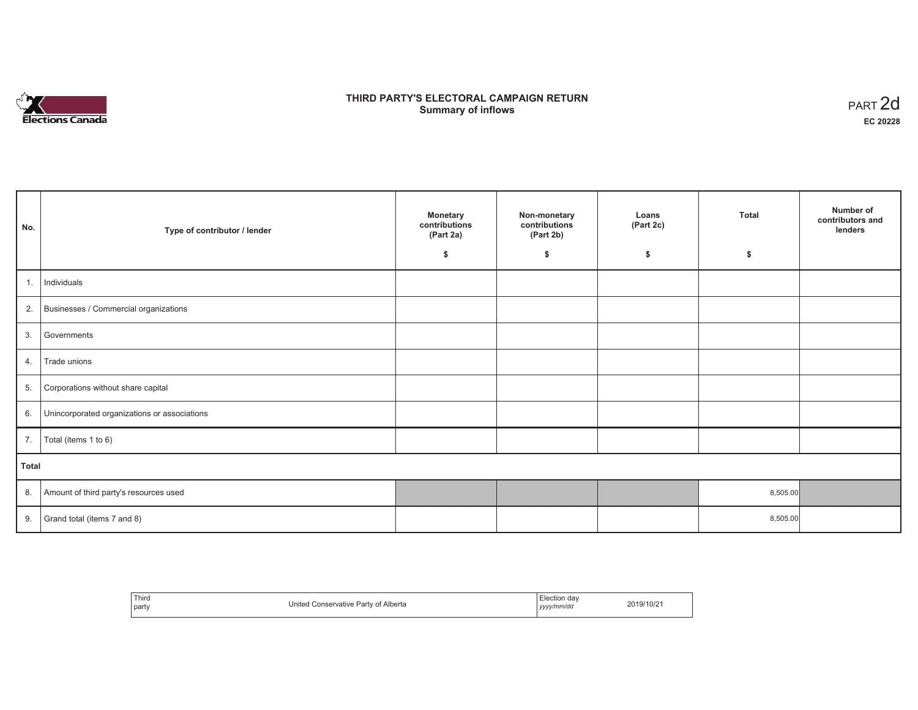

## **THIRD PARTY'S ELECTORAL CAMPAIGN RETURN S** ELECTORAL CAMPAIGN RETURN<br>Summary of inflows PART 2d

| No.   | Type of contributor / lender                    | <b>Monetary</b><br>contributions<br>(Part 2a)<br>\$ | Non-monetary<br>contributions<br>(Part 2b)<br>\$ | Loans<br>(Part 2c)<br>\$ | <b>Total</b><br>\$ | Number of<br>contributors and<br>lenders |  |  |  |
|-------|-------------------------------------------------|-----------------------------------------------------|--------------------------------------------------|--------------------------|--------------------|------------------------------------------|--|--|--|
| 1.1   | Individuals                                     |                                                     |                                                  |                          |                    |                                          |  |  |  |
|       | 2. Businesses / Commercial organizations        |                                                     |                                                  |                          |                    |                                          |  |  |  |
| 3.    | Governments                                     |                                                     |                                                  |                          |                    |                                          |  |  |  |
| 4.    | Trade unions                                    |                                                     |                                                  |                          |                    |                                          |  |  |  |
| 5.    | Corporations without share capital              |                                                     |                                                  |                          |                    |                                          |  |  |  |
|       | 6. Unincorporated organizations or associations |                                                     |                                                  |                          |                    |                                          |  |  |  |
|       | 7.   Total (items 1 to 6)                       |                                                     |                                                  |                          |                    |                                          |  |  |  |
| Total |                                                 |                                                     |                                                  |                          |                    |                                          |  |  |  |
| 8.    | Amount of third party's resources used          |                                                     |                                                  |                          | 8,505.00           |                                          |  |  |  |
| 9.    | Grand total (items 7 and 8)                     |                                                     |                                                  |                          | 8,505.00           |                                          |  |  |  |

| Third<br>party | of Alberta<br>Jnited<br>. Conservative Party 1<br>. | Election day<br>yyyy/mm/dd | 2019/10/2 |
|----------------|-----------------------------------------------------|----------------------------|-----------|
|----------------|-----------------------------------------------------|----------------------------|-----------|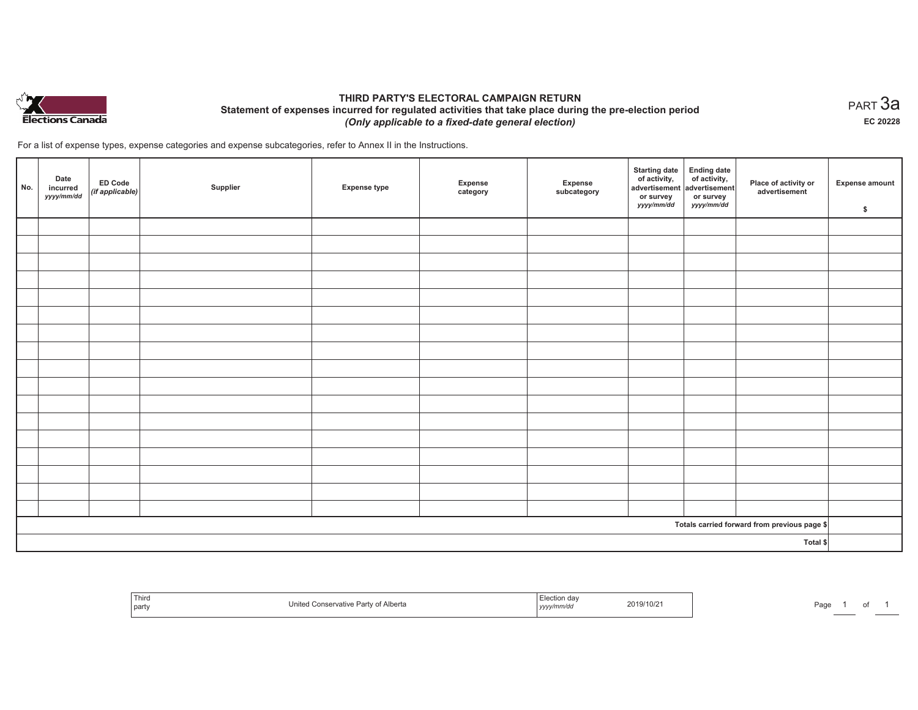

## **THIRD PARTY'S ELECTORAL CAMPAIGN RETURN Statement of expenses incurred for regulated activities that take place during the pre-election period**  *(Only applicable to a fixed-date general election)*

For a list of expense types, expense categories and expense subcategories, refer to Annex II in the Instructions.

| No.                                          | Date<br>incurred<br>yyyy/mm/dd | <b>ED Code</b><br>$($ if applicable $)$ | Supplier | <b>Expense type</b> | Expense<br>category | Expense<br>subcategory | <b>Starting date</b><br>of activity,<br>advertisement<br>or survey<br>yyyy/mm/dd | Ending date<br>of activity,<br>advertisement<br>or survey<br>yyyy/mm/dd | Place of activity or<br>advertisement | Expense amount<br>\$ |
|----------------------------------------------|--------------------------------|-----------------------------------------|----------|---------------------|---------------------|------------------------|----------------------------------------------------------------------------------|-------------------------------------------------------------------------|---------------------------------------|----------------------|
|                                              |                                |                                         |          |                     |                     |                        |                                                                                  |                                                                         |                                       |                      |
|                                              |                                |                                         |          |                     |                     |                        |                                                                                  |                                                                         |                                       |                      |
|                                              |                                |                                         |          |                     |                     |                        |                                                                                  |                                                                         |                                       |                      |
|                                              |                                |                                         |          |                     |                     |                        |                                                                                  |                                                                         |                                       |                      |
|                                              |                                |                                         |          |                     |                     |                        |                                                                                  |                                                                         |                                       |                      |
|                                              |                                |                                         |          |                     |                     |                        |                                                                                  |                                                                         |                                       |                      |
|                                              |                                |                                         |          |                     |                     |                        |                                                                                  |                                                                         |                                       |                      |
|                                              |                                |                                         |          |                     |                     |                        |                                                                                  |                                                                         |                                       |                      |
|                                              |                                |                                         |          |                     |                     |                        |                                                                                  |                                                                         |                                       |                      |
|                                              |                                |                                         |          |                     |                     |                        |                                                                                  |                                                                         |                                       |                      |
|                                              |                                |                                         |          |                     |                     |                        |                                                                                  |                                                                         |                                       |                      |
|                                              |                                |                                         |          |                     |                     |                        |                                                                                  |                                                                         |                                       |                      |
|                                              |                                |                                         |          |                     |                     |                        |                                                                                  |                                                                         |                                       |                      |
|                                              |                                |                                         |          |                     |                     |                        |                                                                                  |                                                                         |                                       |                      |
|                                              |                                |                                         |          |                     |                     |                        |                                                                                  |                                                                         |                                       |                      |
|                                              |                                |                                         |          |                     |                     |                        |                                                                                  |                                                                         |                                       |                      |
|                                              |                                |                                         |          |                     |                     |                        |                                                                                  |                                                                         |                                       |                      |
| Totals carried forward from previous page \$ |                                |                                         |          |                     |                     |                        |                                                                                  |                                                                         |                                       |                      |
| Total \$                                     |                                |                                         |          |                     |                     |                        |                                                                                  |                                                                         |                                       |                      |

| ' Thiro<br>party | Jnit<br>Alberta<br>onservative | ua<br><i>mw</i><br>,,,,, | 2019/10/2<br>the contract of the contract of the contract of the contract of the contract of | Page |  |  |  |
|------------------|--------------------------------|--------------------------|----------------------------------------------------------------------------------------------|------|--|--|--|
|------------------|--------------------------------|--------------------------|----------------------------------------------------------------------------------------------|------|--|--|--|

 $_{\sf PART}$ 3a **EC 20228**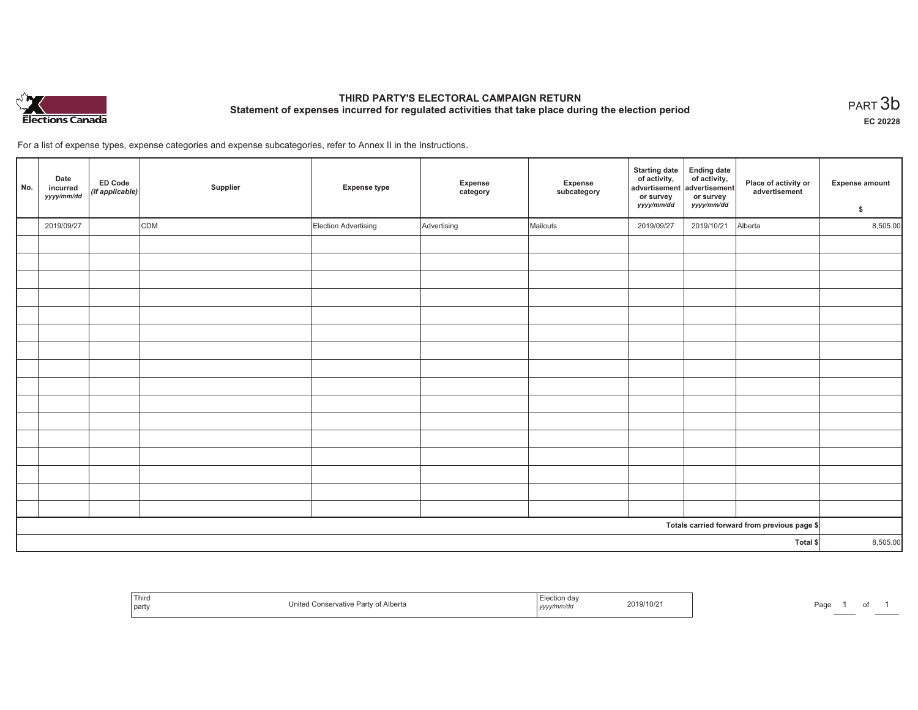

# **THIRD PARTY'S ELECTORAL CAMPAIGN RETURN Statement of expenses incurred for regulated activities that take place during the election period**<br>PART  $3\mathsf{b}$

**EC 20228**

of 1

For a list of expense types, expense categories and expense subcategories, refer to Annex II in the Instructions.

| No.      | Date<br>incurred<br>yyyy/mm/dd | ED Code<br>(if applicable) | Supplier | <b>Expense type</b>  | Expense<br>category | Expense<br>subcategory | <b>Starting date</b><br>of activity,<br>advertisement<br>or survey<br>yyyy/mm/dd | Ending date<br>of activity,<br>advertisement<br>or survey<br>yyyy/mm/dd | Place of activity or<br>advertisement        | <b>Expense amount</b><br>\$ |
|----------|--------------------------------|----------------------------|----------|----------------------|---------------------|------------------------|----------------------------------------------------------------------------------|-------------------------------------------------------------------------|----------------------------------------------|-----------------------------|
|          | 2019/09/27                     |                            | CDM      | Election Advertising | Advertising         | Mailouts               | 2019/09/27                                                                       | 2019/10/21                                                              | Alberta                                      | 8,505.00                    |
|          |                                |                            |          |                      |                     |                        |                                                                                  |                                                                         |                                              |                             |
|          |                                |                            |          |                      |                     |                        |                                                                                  |                                                                         |                                              |                             |
|          |                                |                            |          |                      |                     |                        |                                                                                  |                                                                         |                                              |                             |
|          |                                |                            |          |                      |                     |                        |                                                                                  |                                                                         |                                              |                             |
|          |                                |                            |          |                      |                     |                        |                                                                                  |                                                                         |                                              |                             |
|          |                                |                            |          |                      |                     |                        |                                                                                  |                                                                         |                                              |                             |
|          |                                |                            |          |                      |                     |                        |                                                                                  |                                                                         |                                              |                             |
|          |                                |                            |          |                      |                     |                        |                                                                                  |                                                                         |                                              |                             |
|          |                                |                            |          |                      |                     |                        |                                                                                  |                                                                         |                                              |                             |
|          |                                |                            |          |                      |                     |                        |                                                                                  |                                                                         |                                              |                             |
|          |                                |                            |          |                      |                     |                        |                                                                                  |                                                                         |                                              |                             |
|          |                                |                            |          |                      |                     |                        |                                                                                  |                                                                         |                                              |                             |
|          |                                |                            |          |                      |                     |                        |                                                                                  |                                                                         |                                              |                             |
|          |                                |                            |          |                      |                     |                        |                                                                                  |                                                                         |                                              |                             |
|          |                                |                            |          |                      |                     |                        |                                                                                  |                                                                         |                                              |                             |
|          |                                |                            |          |                      |                     |                        |                                                                                  |                                                                         |                                              |                             |
|          |                                |                            |          |                      |                     |                        |                                                                                  |                                                                         | Totals carried forward from previous page \$ |                             |
| Total \$ |                                |                            |          |                      |                     |                        | 8,505.00                                                                         |                                                                         |                                              |                             |

| Third<br>  part | Inited<br>∴of Alberta<br>Party | un dav<br>- IE.<br>vvv/mm/ar<br>,,,, | 2019/10/2 | Page | the control of the control of the control of |
|-----------------|--------------------------------|--------------------------------------|-----------|------|----------------------------------------------|
|-----------------|--------------------------------|--------------------------------------|-----------|------|----------------------------------------------|